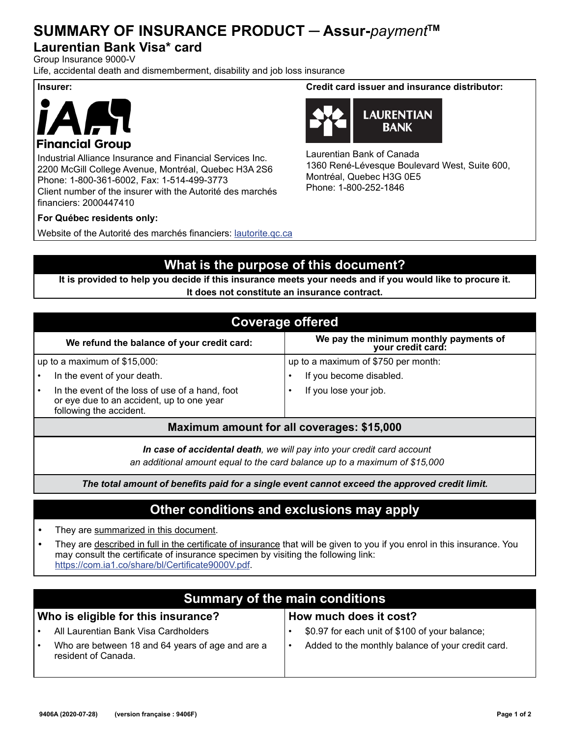## **SUMMARY OF INSURANCE PRODUCT ─ Assur-***payment***TM**

#### **Laurentian Bank Visa\* card**

Group Insurance 9000-V

Life, accidental death and dismemberment, disability and job loss insurance





#### **Financial Group**

Industrial Alliance Insurance and Financial Services Inc. 2200 McGill College Avenue, Montréal, Quebec H3A 2S6 Phone: 1-800-361-6002, Fax: 1-514-499-3773 Client number of the insurer with the Autorité des marchés financiers: 2000447410

#### **For Québec residents only:**

Website of the Autorité des marchés financiers: lautorite.qc.ca

#### **Insurer: Credit card issuer and insurance distributor:**



Laurentian Bank of Canada 1360 René-Lévesque Boulevard West, Suite 600, Montréal, Quebec H3G 0E5 Phone: 1-800-252-1846

## **What is the purpose of this document?**

**It is provided to help you decide if this insurance meets your needs and if you would like to procure it. It does not constitute an insurance contract.**

| <b>Coverage offered</b>                                                                                                 |                                                             |  |
|-------------------------------------------------------------------------------------------------------------------------|-------------------------------------------------------------|--|
| We refund the balance of your credit card:                                                                              | We pay the minimum monthly payments of<br>your credit card: |  |
| up to a maximum of $$15,000$ :                                                                                          | up to a maximum of \$750 per month:                         |  |
| In the event of your death.                                                                                             | If you become disabled.                                     |  |
| In the event of the loss of use of a hand, foot<br>or eye due to an accident, up to one year<br>following the accident. | If you lose your job.                                       |  |
| Maximum amount for all coverages: \$15,000                                                                              |                                                             |  |
|                                                                                                                         |                                                             |  |

*In case of accidental death, we will pay into your credit card account an additional amount equal to the card balance up to a maximum of \$15,000*

*The total amount of benefits paid for a single event cannot exceed the approved credit limit.*

#### **Other conditions and exclusions may apply**

- **•** They are summarized in this document.
- **•** They are described in full in the certificate of insurance that will be given to you if you enrol in this insurance. You may consult the certificate of insurance specimen by visiting the following link: https://com.ia1.co/share/bl/Certificate9000V.pdf.

| <b>Summary of the main conditions</b>                                   |                                                   |  |
|-------------------------------------------------------------------------|---------------------------------------------------|--|
| Who is eligible for this insurance?                                     | How much does it cost?                            |  |
| All Laurentian Bank Visa Cardholders                                    | \$0.97 for each unit of \$100 of your balance;    |  |
| Who are between 18 and 64 years of age and are a<br>resident of Canada. | Added to the monthly balance of your credit card. |  |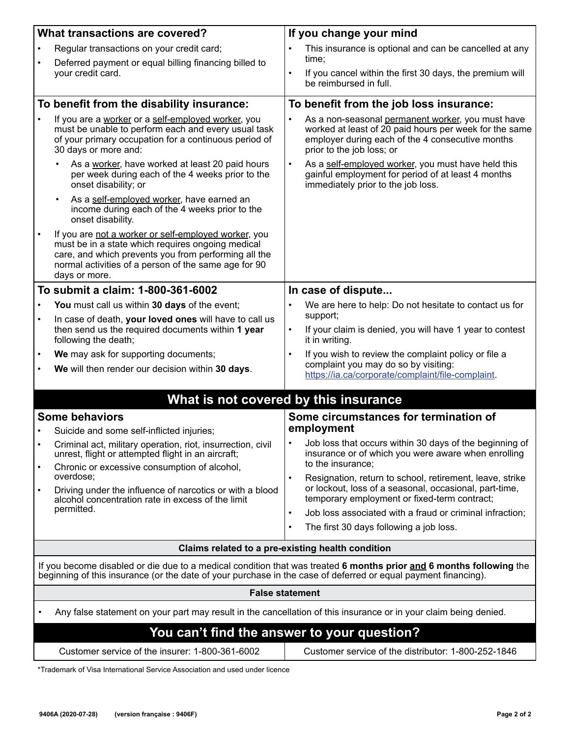|                                                                                                                                                                                                                                       | <b>What transactions are covered?</b>                                                                                                                                                                                                      | If you change your mind                                                                                                                                                                                   |
|---------------------------------------------------------------------------------------------------------------------------------------------------------------------------------------------------------------------------------------|--------------------------------------------------------------------------------------------------------------------------------------------------------------------------------------------------------------------------------------------|-----------------------------------------------------------------------------------------------------------------------------------------------------------------------------------------------------------|
|                                                                                                                                                                                                                                       | Regular transactions on your credit card;                                                                                                                                                                                                  | This insurance is optional and can be cancelled at any                                                                                                                                                    |
| $\bullet$                                                                                                                                                                                                                             | Deferred payment or equal billing financing billed to<br>your credit card.                                                                                                                                                                 | time:<br>If you cancel within the first 30 days, the premium will<br>$\bullet$<br>be reimbursed in full.                                                                                                  |
|                                                                                                                                                                                                                                       | To benefit from the disability insurance:                                                                                                                                                                                                  | To benefit from the job loss insurance:                                                                                                                                                                   |
|                                                                                                                                                                                                                                       |                                                                                                                                                                                                                                            |                                                                                                                                                                                                           |
|                                                                                                                                                                                                                                       | If you are a worker or a self-employed worker, you<br>must be unable to perform each and every usual task<br>of your primary occupation for a continuous period of<br>30 days or more and:                                                 | As a non-seasonal permanent worker, you must have<br>$\bullet$<br>worked at least of 20 paid hours per week for the same<br>employer during each of the 4 consecutive months<br>prior to the job loss; or |
|                                                                                                                                                                                                                                       | As a worker, have worked at least 20 paid hours<br>per week during each of the 4 weeks prior to the<br>onset disability; or                                                                                                                | $\bullet$<br>As a self-employed worker, you must have held this<br>gainful employment for period of at least 4 months<br>immediately prior to the job loss.                                               |
|                                                                                                                                                                                                                                       | As a self-employed worker, have earned an<br>income during each of the 4 weeks prior to the<br>onset disability.                                                                                                                           |                                                                                                                                                                                                           |
| $\bullet$                                                                                                                                                                                                                             | If you are not a worker or self-employed worker, you<br>must be in a state which requires ongoing medical<br>care, and which prevents you from performing all the<br>normal activities of a person of the same age for 90<br>days or more. |                                                                                                                                                                                                           |
|                                                                                                                                                                                                                                       | To submit a claim: 1-800-361-6002                                                                                                                                                                                                          | In case of dispute                                                                                                                                                                                        |
|                                                                                                                                                                                                                                       | You must call us within 30 days of the event;                                                                                                                                                                                              | We are here to help: Do not hesitate to contact us for                                                                                                                                                    |
|                                                                                                                                                                                                                                       | In case of death, your loved ones will have to call us<br>then send us the required documents within 1 year<br>following the death;                                                                                                        | support;<br>If your claim is denied, you will have 1 year to contest<br>$\bullet$<br>it in writing.                                                                                                       |
| $\bullet$                                                                                                                                                                                                                             | We may ask for supporting documents;                                                                                                                                                                                                       | If you wish to review the complaint policy or file a                                                                                                                                                      |
| $\bullet$                                                                                                                                                                                                                             | We will then render our decision within 30 days.                                                                                                                                                                                           | complaint you may do so by visiting:<br>https://ia.ca/corporate/complaint/file-complaint.                                                                                                                 |
|                                                                                                                                                                                                                                       |                                                                                                                                                                                                                                            |                                                                                                                                                                                                           |
|                                                                                                                                                                                                                                       | What is not covered by this insurance                                                                                                                                                                                                      |                                                                                                                                                                                                           |
|                                                                                                                                                                                                                                       | <b>Some behaviors</b>                                                                                                                                                                                                                      | Some circumstances for termination of<br>employment                                                                                                                                                       |
|                                                                                                                                                                                                                                       | Suicide and some self-inflicted injuries;                                                                                                                                                                                                  | . Job loss that occurs within 30 days of the beginning of                                                                                                                                                 |
|                                                                                                                                                                                                                                       | Criminal act, military operation, riot, insurrection, civil<br>unrest, flight or attempted flight in an aircraft;                                                                                                                          | insurance or of which you were aware when enrolling<br>to the insurance;                                                                                                                                  |
|                                                                                                                                                                                                                                       | Chronic or excessive consumption of alcohol,<br>overdose;                                                                                                                                                                                  | Resignation, return to school, retirement, leave, strike                                                                                                                                                  |
| ٠                                                                                                                                                                                                                                     | Driving under the influence of narcotics or with a blood<br>alcohol concentration rate in excess of the limit<br>permitted.                                                                                                                | or lockout, loss of a seasonal, occasional, part-time,<br>temporary employment or fixed-term contract;<br>Job loss associated with a fraud or criminal infraction;<br>$\bullet$                           |
|                                                                                                                                                                                                                                       |                                                                                                                                                                                                                                            | The first 30 days following a job loss.                                                                                                                                                                   |
|                                                                                                                                                                                                                                       | Claims related to a pre-existing health condition                                                                                                                                                                                          |                                                                                                                                                                                                           |
|                                                                                                                                                                                                                                       |                                                                                                                                                                                                                                            |                                                                                                                                                                                                           |
| If you become disabled or die due to a medical condition that was treated 6 months prior and 6 months following the<br>beginning of this insurance (or the date of your purchase in the case of deferred or equal payment financing). |                                                                                                                                                                                                                                            |                                                                                                                                                                                                           |
| <b>False statement</b>                                                                                                                                                                                                                |                                                                                                                                                                                                                                            |                                                                                                                                                                                                           |
| Any false statement on your part may result in the cancellation of this insurance or in your claim being denied.                                                                                                                      |                                                                                                                                                                                                                                            |                                                                                                                                                                                                           |
| You can't find the answer to your question?                                                                                                                                                                                           |                                                                                                                                                                                                                                            |                                                                                                                                                                                                           |
|                                                                                                                                                                                                                                       | Customer service of the insurer: 1-800-361-6002                                                                                                                                                                                            | Customer service of the distributor: 1-800-252-1846                                                                                                                                                       |

\*Trademark of Visa International Service Association and used under licence